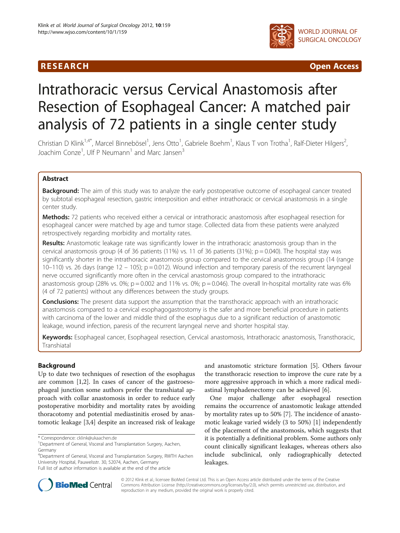## R E S EAR CH Open Access



# Intrathoracic versus Cervical Anastomosis after Resection of Esophageal Cancer: A matched pair analysis of 72 patients in a single center study

Christian D Klink<sup>1,4\*</sup>, Marcel Binnebösel<sup>1</sup>, Jens Otto<sup>1</sup>, Gabriele Boehm<sup>1</sup>, Klaus T von Trotha<sup>1</sup>, Ralf-Dieter Hilgers<sup>2</sup> , Joachim Conze<sup>1</sup>, Ulf P Neumann<sup>1</sup> and Marc Jansen<sup>3</sup>

## Abstract

Background: The aim of this study was to analyze the early postoperative outcome of esophageal cancer treated by subtotal esophageal resection, gastric interposition and either intrathoracic or cervical anastomosis in a single center study.

Methods: 72 patients who received either a cervical or intrathoracic anastomosis after esophageal resection for esophageal cancer were matched by age and tumor stage. Collected data from these patients were analyzed retrospectively regarding morbidity and mortality rates.

**Results:** Anastomotic leakage rate was significantly lower in the intrathoracic anastomosis group than in the cervical anastomosis group (4 of 36 patients (11%) vs. 11 of 36 patients (31%);  $p = 0.040$ ). The hospital stay was significantly shorter in the intrathoracic anastomosis group compared to the cervical anastomosis group (14 (range 10–110) vs. 26 days (range  $12 - 105$ );  $p = 0.012$ ). Wound infection and temporary paresis of the recurrent laryngeal nerve occurred significantly more often in the cervical anastomosis group compared to the intrathoracic anastomosis group (28% vs. 0%;  $p = 0.002$  and 11% vs. 0%;  $p = 0.046$ ). The overall In-hospital mortality rate was 6% (4 of 72 patients) without any differences between the study groups.

**Conclusions:** The present data support the assumption that the transthoracic approach with an intrathoracic anastomosis compared to a cervical esophagogastrostomy is the safer and more beneficial procedure in patients with carcinoma of the lower and middle third of the esophagus due to a significant reduction of anastomotic leakage, wound infection, paresis of the recurrent laryngeal nerve and shorter hospital stay.

Keywords: Esophageal cancer, Esophageal resection, Cervical anastomosis, Intrathoracic anastomosis, Transthoracic, **Transhiatal** 

## Background

Up to date two techniques of resection of the esophagus are common [\[1,2](#page-4-0)]. In cases of cancer of the gastroesophageal junction some authors prefer the transhiatal approach with collar anastomosis in order to reduce early postoperative morbidity and mortality rates by avoiding thoracotomy and potential mediastinitis erosed by anastomotic leakage [\[3](#page-4-0),[4](#page-4-0)] despite an increased risk of leakage

and anastomotic stricture formation [[5](#page-4-0)]. Others favour the transthoracic resection to improve the cure rate by a more aggressive approach in which a more radical mediastinal lymphadenectomy can be achieved [[6\]](#page-4-0).

One major challenge after esophageal resection remains the occurrence of anastomotic leakage attended by mortality rates up to 50% [\[7](#page-4-0)]. The incidence of anastomotic leakage varied widely (3 to 50%) [[1\]](#page-4-0) independently of the placement of the anastomosis, which suggests that it is potentially a definitional problem. Some authors only count clinically significant leakages, whereas others also include subclinical, only radiographically detected leakages.



© 2012 Klink et al.; licensee BioMed Central Ltd. This is an Open Access article distributed under the terms of the Creative Commons Attribution License [\(http://creativecommons.org/licenses/by/2.0\)](http://creativecommons.org/licenses/by/2.0), which permits unrestricted use, distribution, and reproduction in any medium, provided the original work is properly cited.

<sup>\*</sup> Correspondence: [cklink@ukaachen.de](mailto:cklink@ukaachen.de) <sup>1</sup>

<sup>&</sup>lt;sup>1</sup>Department of General, Visceral and Transplantation Surgery, Aachen, Germany

<sup>4</sup> Department of General, Visceral and Transplantation Surgery, RWTH Aachen University Hospital, Pauwelsstr. 30, 52074, Aachen, Germany Full list of author information is available at the end of the article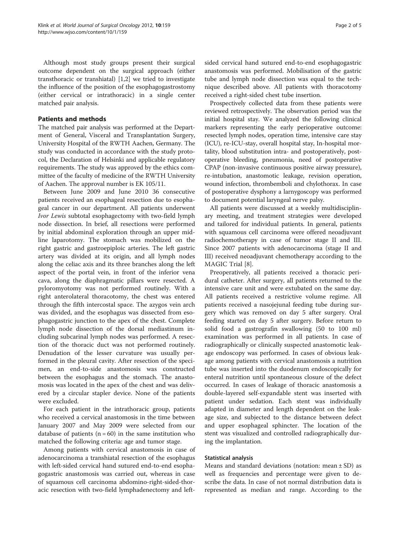Although most study groups present their surgical outcome dependent on the surgical approach (either transthoracic or transhiatal) [\[1,2](#page-4-0)] we tried to investigate the influence of the position of the esophagogastrostomy (either cervical or intrathoracic) in a single center matched pair analysis.

## Patients and methods

The matched pair analysis was performed at the Department of General, Visceral and Transplantation Surgery, University Hospital of the RWTH Aachen, Germany. The study was conducted in accordance with the study protocol, the Declaration of Helsinki and applicable regulatory requirements. The study was approved by the ethics committee of the faculty of medicine of the RWTH University of Aachen. The approval number is EK 105/11.

Between June 2009 and June 2010 36 consecutive patients received an esophageal resection due to esophageal cancer in our department. All patients underwent Ivor Lewis subtotal esophagectomy with two-field lymph node dissection. In brief, all resections were performed by initial abdominal exploration through an upper midline laparotomy. The stomach was mobilized on the right gastric and gastroepiploic arteries. The left gastric artery was divided at its origin, and all lymph nodes along the celiac axis and its three branches along the left aspect of the portal vein, in front of the inferior vena cava, along the diaphragmatic pillars were resected. A pyloromyotomy was not performed routinely. With a right anterolateral thoracotomy, the chest was entered through the fifth intercostal space. The azygos vein arch was divided, and the esophagus was dissected from esophagogastric junction to the apex of the chest. Complete lymph node dissection of the dorsal mediastinum including subcarinal lymph nodes was performed. A resection of the thoracic duct was not performed routinely. Denudation of the lesser curvature was usually performed in the pleural cavity. After resection of the specimen, an end-to-side anastomosis was constructed between the esophagus and the stomach. The anastomosis was located in the apex of the chest and was delivered by a circular stapler device. None of the patients were excluded.

For each patient in the intrathoracic group, patients who received a cervical anastomosis in the time between January 2007 and May 2009 were selected from our database of patients  $(n = 60)$  in the same institution who matched the following criteria: age and tumor stage.

Among patients with cervical anastomosis in case of adenocarcinoma a transhiatal resection of the esophagus with left-sided cervical hand sutured end-to-end esophagogastric anastomosis was carried out, whereas in case of squamous cell carcinoma abdomino-right-sided-thoracic resection with two-field lymphadenectomy and leftsided cervical hand sutured end-to-end esophagogastric anastomosis was performed. Mobilisation of the gastric tube and lymph node dissection was equal to the technique described above. All patients with thoracotomy received a right-sided chest tube insertion.

Prospectively collected data from these patients were reviewed retrospectively. The observation period was the initial hospital stay. We analyzed the following clinical markers representing the early perioperative outcome: resected lymph nodes, operation time, intensive care stay (ICU), re-ICU-stay, overall hospital stay, In-hospital mortality, blood substitution intra- and postoperatively, postoperative bleeding, pneumonia, need of postoperative CPAP (non-invasive continuous positive airway pressure), re-intubation, anastomotic leakage, revision operation, wound infection, thrombemboli and chylothorax. In case of postoperative dysphony a larnygoscopy was performed to document potential laryngeal nerve palsy.

All patients were discussed at a weekly multidisciplinary meeting, and treatment strategies were developed and tailored for individual patients. In general, patients with squamous cell carcinoma were offered neoadjuvant radiochemotherapy in case of tumor stage II and III. Since 2007 patients with adenocarcinoma (stage II and III) received neoadjuvant chemotherapy according to the MAGIC Trial [\[8](#page-4-0)].

Preoperatively, all patients received a thoracic peridural catheter. After surgery, all patients returned to the intensive care unit and were extubated on the same day. All patients received a restrictive volume regime. All patients received a nasojejunal feeding tube during surgery which was removed on day 5 after surgery. Oral feeding started on day 5 after surgery. Before return to solid food a gastrografin swallowing (50 to 100 ml) examination was performed in all patients. In case of radiographically or clinically suspected anastomotic leakage endoscopy was performed. In cases of obvious leakage among patients with cervical anastomosis a nutrition tube was inserted into the duodenum endoscopically for enteral nutrition until spontaneous closure of the defect occurred. In cases of leakage of thoracic anastomosis a double-layered self-expandable stent was inserted with patient under sedation. Each stent was individually adapted in diameter and length dependent on the leakage size, and subjected to the distance between defect and upper esophageal sphincter. The location of the stent was visualized and controlled radiographically during the implantation.

## Statistical analysis

Means and standard deviations (notation: mean  $\pm$  SD) as well as frequencies and percentage were given to describe the data. In case of not normal distribution data is represented as median and range. According to the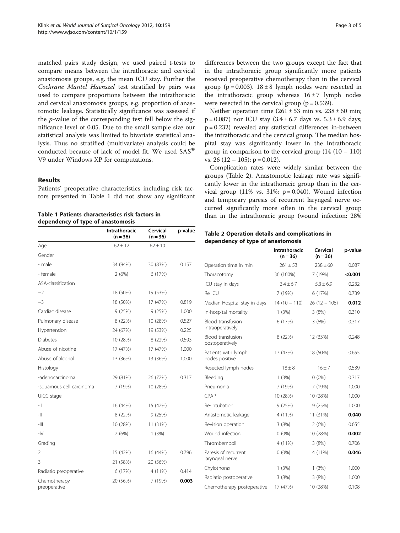matched pairs study design, we used paired t-tests to compare means between the intrathoracic and cervical anastomosis groups, e.g. the mean ICU stay. Further the Cochrane Mantel Haenszel test stratified by pairs was used to compare proportions between the intrathoracic and cervical anastomosis groups, e.g. proportion of anastomotic leakage. Statistically significance was assessed if the  $p$ -value of the corresponding test fell below the significance level of 0.05. Due to the small sample size our statistical analysis was limited to bivariate statistical analysis. Thus no stratified (multivariate) analysis could be conducted because of lack of model fit. We used  $SAS^®$ V9 under Windows XP for computations.

### Results

Patients' preoperative characteristics including risk factors presented in Table 1 did not show any significant

Table 1 Patients characteristics risk factors in the intrathoracic group (wound infection: 28% dependency of type of anastomosis

|                              | <b>Intrathoracic</b><br>$(n = 36)$ | Cervical<br>$(n = 36)$ | p-value |
|------------------------------|------------------------------------|------------------------|---------|
| Age                          | $62 \pm 12$                        | $62 \pm 10$            |         |
| Gender                       |                                    |                        |         |
| - male                       | 34 (94%)                           | 30 (83%)               | 0.157   |
| - female                     | 2(6%)                              | 6 (17%)                |         |
| ASA-classification           |                                    |                        |         |
| $-2$                         | 18 (50%)                           | 19 (53%)               |         |
| $-3$                         | 18 (50%)                           | 17 (47%)               | 0.819   |
| Cardiac disease              | 9(25%)                             | 9(25%)                 | 1.000   |
| Pulmonary disease            | 8 (22%)                            | 10 (28%)               | 0.527   |
| Hypertension                 | 24 (67%)                           | 19 (53%)               | 0.225   |
| <b>Diabetes</b>              | 10 (28%)                           | 8 (22%)                | 0.593   |
| Abuse of nicotine            | 17 (47%)                           | 17 (47%)               | 1.000   |
| Abuse of alcohol             | 13 (36%)                           | 13 (36%)               | 1.000   |
| Histology                    |                                    |                        |         |
| -adenocarcinoma              | 29 (81%)                           | 26 (72%)               | 0.317   |
| -squamous cell carcinoma     | 7 (19%)                            | 10 (28%)               |         |
| UICC stage                   |                                    |                        |         |
| $-$                          | 16 (44%)                           | 15 (42%)               |         |
| -11                          | 8 (22%)                            | 9(25%)                 |         |
| $-$                          | 10 (28%)                           | 11 (31%)               |         |
| $-IV$                        | 2(6%)                              | 1(3%)                  |         |
| Grading                      |                                    |                        |         |
| 2                            | 15 (42%)                           | 16 (44%)               | 0.796   |
| 3                            | 21 (58%)                           | 20 (56%)               |         |
| Radiatio preoperative        | 6 (17%)                            | 4 (11%)                | 0.414   |
| Chemotherapy<br>preoperative | 20 (56%)                           | 7 (19%)                | 0.003   |

differences between the two groups except the fact that in the intrathoracic group significantly more patients received preoperative chemotherapy than in the cervical group ( $p = 0.003$ ).  $18 \pm 8$  lymph nodes were resected in the intrathoracic group whereas  $16 \pm 7$  lymph nodes were resected in the cervical group  $(p = 0.539)$ .

Neither operation time  $(261 \pm 53 \text{ min} \text{ vs. } 238 \pm 60 \text{ min})$  $p = 0.087$ ) nor ICU stay  $(3.4 \pm 6.7$  days vs.  $5.3 \pm 6.9$  days; p = 0.232) revealed any statistical differences in-between the intrathoracic and the cervical group. The median hospital stay was significantly lower in the intrathoracic group in comparison to the cervical group  $(14 (10 - 110))$ vs. 26  $(12 - 105)$ ; p = 0.012).

Complication rates were widely similar between the groups (Table 2). Anastomotic leakage rate was significantly lower in the intrathoracic group than in the cervical group (11% vs. 31%;  $p = 0.040$ ). Wound infection and temporary paresis of recurrent laryngeal nerve occurred significantly more often in the cervical group

|  |                                   | Table 2 Operation details and complications in |
|--|-----------------------------------|------------------------------------------------|
|  | dependency of type of anastomosis |                                                |

|                                              | <b>Intrathoracic</b><br>$(n = 36)$ | Cervical<br>$(n = 36)$ | p-value |
|----------------------------------------------|------------------------------------|------------------------|---------|
| Operation time in min                        | $261 \pm 53$                       | $238 \pm 60$           | 0.087   |
| Thoracotomy                                  | 36 (100%)                          | 7 (19%)                | < 0.001 |
| ICU stay in days                             | $3.4 \pm 6.7$                      | $5.3 \pm 6.9$          | 0.232   |
| Re ICU                                       | 7 (19%)                            | 6 (17%)                | 0.739   |
| Median Hospital stay in days                 | $14(10 - 110)$                     | $26(12 - 105)$         | 0.012   |
| In-hospital mortality                        | 1(3%)                              | 3(8%)                  | 0.310   |
| <b>Blood transfusion</b><br>intraoperatively | 6 (17%)                            | 3(8%)                  | 0.317   |
| <b>Blood transfusion</b><br>postoperatively  | 8 (22%)                            | 12 (33%)               | 0.248   |
| Patients with lymph<br>nodes positive        | 17 (47%)                           | 18 (50%)               | 0.655   |
| Resected lymph nodes                         | $18 + 8$                           | $16 + 7$               | 0.539   |
| Bleeding                                     | 1(3%)                              | $0(0\%)$               | 0.317   |
| Pneumonia                                    | 7 (19%)                            | 7 (19%)                | 1.000   |
| CPAP                                         | 10 (28%)                           | 10 (28%)               | 1.000   |
| Re-intubation                                | 9(25%)                             | 9(25%)                 | 1.000   |
| Anastomotic leakage                          | 4 (11%)                            | 11 (31%)               | 0.040   |
| Revision operation                           | 3(8%)                              | 2(6%)                  | 0.655   |
| Wound infection                              | $0(0\%)$                           | 10 (28%)               | 0.002   |
| Thrombemboli                                 | 4 (11%)                            | 3(8%)                  | 0.706   |
| Paresis of recurrent<br>laryngeal nerve      | $0(0\%)$                           | 4 (11%)                | 0.046   |
| Chylothorax                                  | 1(3%)                              | 1(3%)                  | 1.000   |
| Radiatio postoperative                       | 3(8%)                              | 3(8%)                  | 1.000   |
| Chemotherapy postoperative                   | 17 (47%)                           | 10 (28%)               | 0.108   |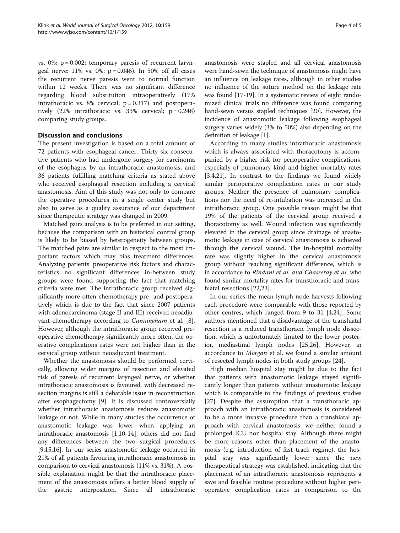vs.  $0\%$ ;  $p = 0.002$ ; temporary paresis of recurrent laryngeal nerve:  $11\%$  vs.  $0\%$ ;  $p = 0.046$ ). In 50% off all cases the recurrent nerve paresis went to normal function within 12 weeks. There was no significant difference regarding blood substitution intraoperatively (17% intrathoracic vs. 8% cervical;  $p = 0.317$ ) and postoperatively  $(22\%$  intrathoracic vs. 33% cervical;  $p = 0.248$ ) comparing study groups.

## Discussion and conclusions

The present investigation is based on a total amount of 72 patients with esophageal cancer. Thirty six consecutive patients who had undergone surgery for carcinoma of the esophagus by an intrathoracic anastomosis, and 36 patients fulfilling matching criteria as stated above who received esophageal resection including a cervical anastomosis. Aim of this study was not only to compare the operative procedures in a single center study but also to serve as a quality assurance of our department since therapeutic strategy was changed in 2009.

Matched pairs analysis is to be preferred in our setting, because the comparison with an historical control group is likely to be biased by heterogeneity between groups. The matched pairs are similar in respect to the most important factors which may bias treatment differences. Analyzing patients' preoperative risk factors and characteristics no significant differences in-between study groups were found supporting the fact that matching criteria were met. The intrathoracic group received significantly more often chemotherapy pre- and postoperatively which is due to the fact that since 2007 patients with adenocarcinoma (stage II and III) received neoadjuvant chemotherapy according to *Cunningham* et al. [\[8](#page-4-0)]. However, although the intrathoracic group received preoperative chemotherapy significantly more often, the operative complications rates were not higher than in the cervical group without neoadjuvant treatment.

Whether the anastomosis should be performed cervically, allowing wider margins of resection and elevated risk of paresis of recurrent laryngeal nerve, or whether intrathoracic anastomosis is favoured, with decreased resection margins is still a debatable issue in reconstruction after esophagectomy [\[9](#page-4-0)]. It is discussed controversially whether intrathoracic anastomosis reduces anastomotic leakage or not. While in many studies the occurrence of anastomotic leakage was lower when applying an intrathoracic anastomosis [[1,10-14\]](#page-4-0), others did not find any differences between the two surgical procedures [[9,15](#page-4-0),[16](#page-4-0)]. In our series anastomotic leakage occurred in 21% of all patients favouring intrathoracic anastomosis in comparison to cervical anastomosis (11% vs. 31%). A possible explanation might be that the intrathoracic placement of the anastomosis offers a better blood supply of the gastric interposition. Since all intrathoracic

anastomosis were stapled and all cervical anastomosis were hand-sewn the technique of anastomosis might have an influence on leakage rates, although in other studies no influence of the suture method on the leakage rate was found [[17-19\]](#page-4-0). In a systematic review of eight randomized clinical trials no difference was found comparing hand-sewn versus stapled techniques [\[20\]](#page-4-0). However, the incidence of anastomotic leakage following esophageal surgery varies widely (3% to 50%) also depending on the definition of leakage [[1\]](#page-4-0).

According to many studies intrathoracic anastomosis which is always associated with thoracotomy is accompanied by a higher risk for perioperative complications, especially of pulmonary kind and higher mortality rates [[3,4,21\]](#page-4-0). In contrast to the findings we found widely similar perioperative complication rates in our study groups. Neither the presence of pulmonary complications nor the need of re-intubation was increased in the intrathoracic group. One possible reason might be that 19% of the patients of the cervical group received a thoracotomy as well. Wound infection was significantly elevated in the cervical group since drainage of anastomotic leakage in case of cervical anastomosis is achieved through the cervical wound. The In-hospital mortality rate was slightly higher in the cervical anastomosis group without reaching significant difference, which is in accordance to Rindani et al. and Chasseray et al. who found similar mortality rates for transthoracic and transhiatal resections [[22,23\]](#page-4-0).

In our series the mean lymph node harvests following each procedure were comparable with those reported by other centres, which ranged from 9 to 31 [[4](#page-4-0),[24](#page-4-0)]. Some authors mentioned that a disadvantage of the transhiatal resection is a reduced transthoracic lymph node dissection, which is unfortunately limited to the lower posterior, mediastinal lymph nodes [\[25,26](#page-4-0)]. However, in accordance to *Morgan* et al. we found a similar amount of resected lymph nodes in both study groups [[24\]](#page-4-0).

High median hospital stay might be due to the fact that patients with anastomotic leakage stayed significantly longer than patients without anastomotic leakage which is comparable to the findings of previous studies [[27\]](#page-4-0). Despite the assumption that a transthoracic approach with an intrathoracic anastomosis is considered to be a more invasive procedure than a transhiatal approach with cervical anastomosis, we neither found a prolonged ICU nor hospital stay. Although there might be more reasons other than placement of the anastomosis (e.g. introduction of fast track regime), the hospital stay was significantly lower since the new therapeutical strategy was established, indicating that the placement of an intrathoracic anastomosis represents a save and feasible routine procedure without higher perioperative complication rates in comparison to the